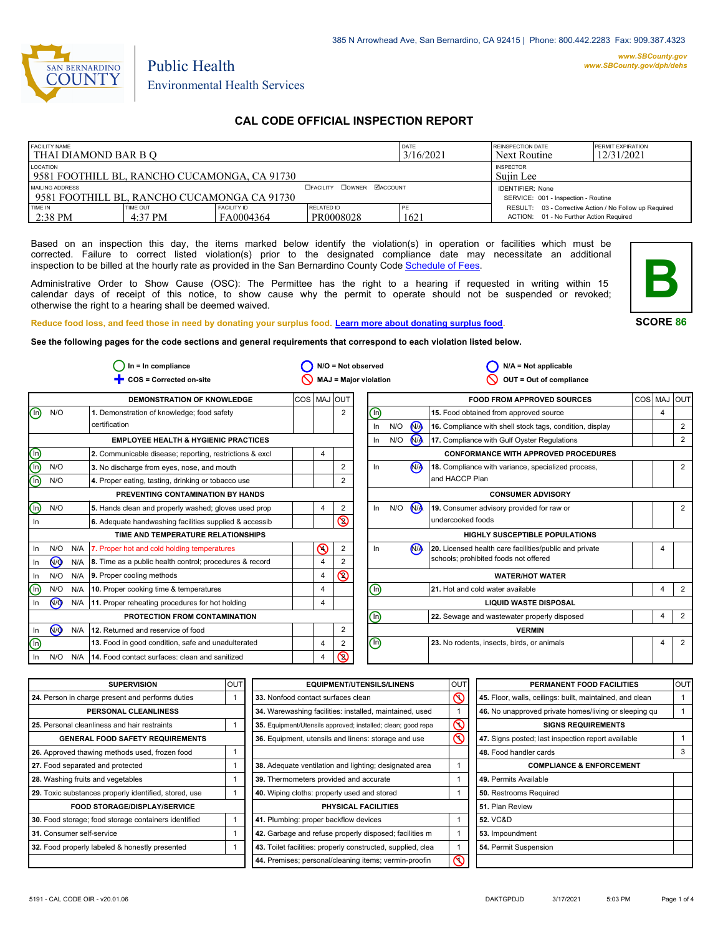

# Environmental Health Services

Public Health

## **CAL CODE OFFICIAL INSPECTION REPORT**

| <b>FACILITY NAME</b><br>I THAI DIAMOND BAR B O                                                           |                     |                                 |                         | DATE<br>3/16/2021 | <b>REINSPECTION DATE</b><br>Next Routine                                                          | <b>PERMIT EXPIRATION</b><br>12/31/2021 |
|----------------------------------------------------------------------------------------------------------|---------------------|---------------------------------|-------------------------|-------------------|---------------------------------------------------------------------------------------------------|----------------------------------------|
| LOCATION<br>19581 FOOTHILL BL. RANCHO CUCAMONGA. CA 91730                                                |                     |                                 |                         |                   | <b>INSPECTOR</b><br>Suiin Lee                                                                     |                                        |
| <b>DOWNER MACCOUNT</b><br>MAILING ADDRESS<br>□ FACILITY<br>1 9581 FOOTHILL BL. RANCHO CUCAMONGA CA 91730 |                     |                                 |                         |                   | <b>IDENTIFIER: None</b><br>SERVICE: 001 - Inspection - Routine                                    |                                        |
| TIME IN<br>$2:38$ PM                                                                                     | TIME OUT<br>4:37 PM | <b>FACILITY ID</b><br>FA0004364 | RELATED ID<br>PR0008028 | 1621              | RESULT: 03 - Corrective Action / No Follow up Required<br>ACTION: 01 - No Further Action Required |                                        |

Based on an inspection this day, the items marked below identify the violation(s) in operation or facilities which must be corrected. Failure to correct listed violation(s) prior to the designated compliance date may necessitate an additional inspection to be billed at the hourly rate as provided in the San Bernardino County Co[de Schedule of Fees.](http://www.amlegal.com/nxt/gateway.dll/California/sanbernardinocounty_ca/title1governmentandadministration/division6countyfees/chapter2scheduleoffees?f=templates$fn=default.htm$3.0$vid=amlegal:sanbernardinocounty_ca$anc=JD_16.0213B)

Administrative Order to Show Cause (OSC): The Permittee has the right to a hearing if requested in writing within 15 calendar days of receipt of this notice, to show cause why the permit to operate should not be suspended or revoked; otherwise the right to a hearing shall be deemed waived.



**SCORE 86**

**Reduce food loss, and feed those in need by donating your surplus f[ood. Learn more about donating surplus food.](http://wp.sbcounty.gov/dph/programs/ehs/food-facilities/) See the following pages for the code sections and general requirements that correspond to each violation listed below.**

**COS = Corrected on-site MAJ = Major violation** Ë **OUT = Out of compliance In = In compliance N/A = Not observed N/A = Not applicable**  $\bigcirc$  In = In compliance  $\bigcirc$  N/O = Not observed  $\circ$  $\circ$  $\overline{\mathsf{D}}$  $\overline{\mathsf{D}}$ 2  $\overline{\circ}$  $\bigcirc$ In  $\frac{1}{\sqrt{2}}$  N/A In <u>N/O</u> N/A In <u>N/O</u> N/A **DEMONSTRATION OF KNOWLEDGE**  $N/O$ **EMPLOYEE HEALTH & HYGIENIC PRACTICES 1.** Demonstration of knowledge; food safety certification **3.** No discharge from eyes, nose, and mouth **4.** Proper eating, tasting, drinking or tobacco use **PREVENTING CONTAMINATION BY HANDS TIME AND TEMPERATURE RELATIONSHIPS 6.** Adequate handwashing facilities supplied & accessib **PROTECTION FROM CONTAMINATION 12.** Returned and reservice of food COS MAJ OUT **FOOD FROM APPROVED SOURCES** COS MAJ OUT **16.** Compliance with shell stock tags, condition, display **17.** Compliance with Gulf Oyster Regulations **CONFORMANCE WITH APPROVED PROCEDURES 18.** Compliance with variance, specialized process, and HACCP Plan **19.** Consumer advisory provided for raw or undercooked foods **CONSUMER ADVISORY HIGHLY SUSCEPTIBLE POPULATIONS WATER/HOT WATER LIQUID WASTE DISPOSAL VERMIN** 2 2 2 2 2 2 2  $\overline{2}$ 2 2 2 2  $4 \mid 2$ 4 4 4 4 4 4 4 4 4 4 4 **2.** Communicable disease; reporting, restrictions & excl  $\begin{vmatrix} 4 \\ 4 \end{vmatrix}$ N/O N/O  $N/O$ In In N/O N/A In N/O N/A  $\circledcirc$ In  $N/O$   $N/A$  $In$   $N/O$ In N/A In N/O N/A In N/A In  $\circledcirc$  $\circledcirc$ In N/O N/A N/O N/A  $\bigcirc$  $\binom{n}{k}$ n) ⋒ 网 ⋒ டு<br>In N<sub>/</sub> **5.** Hands clean and properly washed; gloves used prop  $\begin{vmatrix} 4 & 2 \end{vmatrix}$ **7.** Proper hot and cold holding temperatures 8. Time as a public health control; procedures & record **9.** Proper cooling methods **10.** Proper cooking time & temperatures **11.** Proper reheating procedures for hot holding **13.** Food in good condition, safe and unadulterated **14.** Food contact surfaces: clean and sanitized **15.** Food obtained from approved source **20.** Licensed health care facilities/public and private schools; prohibited foods not offered **21.** Hot and cold water available **22.** Sewage and wastewater properly disposed **23.** No rodents, insects, birds, or animals

| <b>SUPERVISION</b>                                    | <b>OUT</b> | <b>EQUIPMENT/UTENSILS/LINENS</b>                             | lout               | PERMANENT FOOD FACILITIES                                | <b>OUT</b> |
|-------------------------------------------------------|------------|--------------------------------------------------------------|--------------------|----------------------------------------------------------|------------|
| 24. Person in charge present and performs duties      |            | 33. Nonfood contact surfaces clean                           | $\infty$           | 45. Floor, walls, ceilings: built, maintained, and clean |            |
| PERSONAL CLEANLINESS                                  |            | 34. Warewashing facilities: installed, maintained, used      |                    | 46. No unapproved private homes/living or sleeping qu    |            |
| 25. Personal cleanliness and hair restraints          |            | 35. Equipment/Utensils approved; installed; clean; good repa | $\circledcirc$     | <b>SIGNS REQUIREMENTS</b>                                |            |
| <b>GENERAL FOOD SAFETY REQUIREMENTS</b>               |            | 36. Equipment, utensils and linens: storage and use          | $\overline{\circ}$ | 47. Signs posted; last inspection report available       |            |
| 26. Approved thawing methods used, frozen food        |            |                                                              |                    | 48. Food handler cards                                   |            |
| 27. Food separated and protected                      |            | 38. Adequate ventilation and lighting; designated area       |                    | <b>COMPLIANCE &amp; ENFORCEMENT</b>                      |            |
| 28. Washing fruits and vegetables                     |            | 39. Thermometers provided and accurate                       |                    | 49. Permits Available                                    |            |
| 29. Toxic substances properly identified, stored, use |            | 40. Wiping cloths: properly used and stored                  |                    | 50. Restrooms Required                                   |            |
| <b>FOOD STORAGE/DISPLAY/SERVICE</b>                   |            | <b>PHYSICAL FACILITIES</b>                                   |                    | 51. Plan Review                                          |            |
| 30. Food storage; food storage containers identified  |            | 41. Plumbing: proper backflow devices                        |                    | 52. VC&D                                                 |            |
| 31. Consumer self-service                             |            | 42. Garbage and refuse properly disposed; facilities m       |                    | 53. Impoundment                                          |            |
| 32. Food properly labeled & honestly presented        |            | 43. Toilet facilities: properly constructed, supplied, clea  |                    | 54. Permit Suspension                                    |            |
|                                                       |            | 44. Premises; personal/cleaning items; vermin-proofin        | $\overline{\circ}$ |                                                          |            |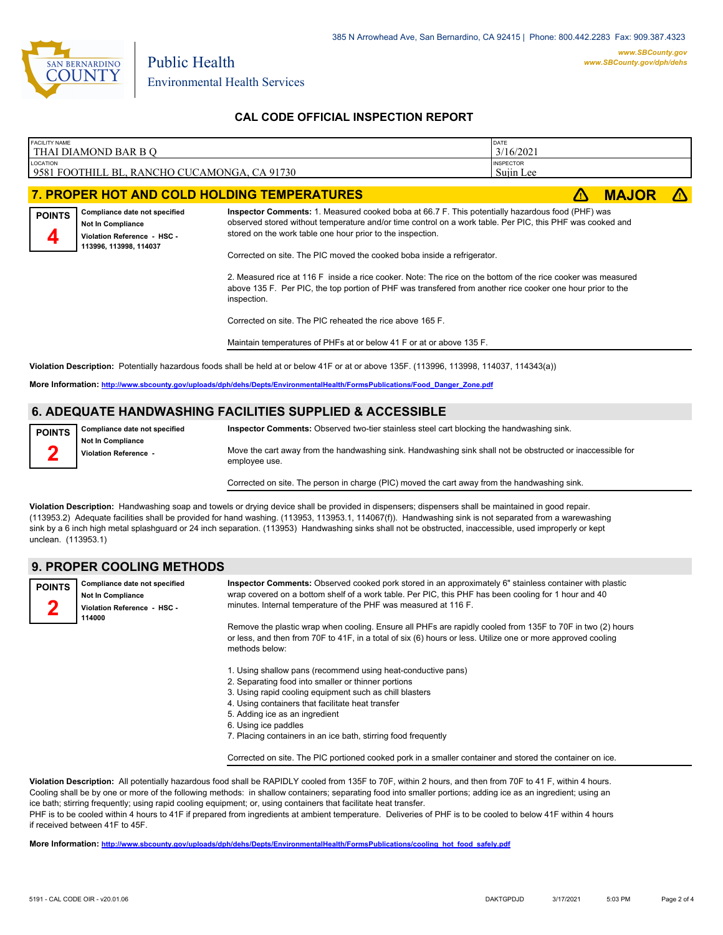

## **CAL CODE OFFICIAL INSPECTION REPORT**

| FACILITY NAME      | THAI DIAMOND BAR B Q                                                                                        |                                                                                                                                                                                                                                                                                                                                                                                                                                                                                                                                                                                                                                                                                                                                          | DATE<br>3/16/2021             |              |            |
|--------------------|-------------------------------------------------------------------------------------------------------------|------------------------------------------------------------------------------------------------------------------------------------------------------------------------------------------------------------------------------------------------------------------------------------------------------------------------------------------------------------------------------------------------------------------------------------------------------------------------------------------------------------------------------------------------------------------------------------------------------------------------------------------------------------------------------------------------------------------------------------------|-------------------------------|--------------|------------|
| <b>LOCATION</b>    | 9581 FOOTHILL BL, RANCHO CUCAMONGA, CA 91730                                                                |                                                                                                                                                                                                                                                                                                                                                                                                                                                                                                                                                                                                                                                                                                                                          | <b>INSPECTOR</b><br>Sujin Lee |              |            |
|                    |                                                                                                             | 7. PROPER HOT AND COLD HOLDING TEMPERATURES                                                                                                                                                                                                                                                                                                                                                                                                                                                                                                                                                                                                                                                                                              |                               | <b>MAJOR</b> | $\sqrt{N}$ |
| <b>POINTS</b><br>Д | Compliance date not specified<br>Not In Compliance<br>Violation Reference - HSC -<br>113996, 113998, 114037 | Inspector Comments: 1. Measured cooked boba at 66.7 F. This potentially hazardous food (PHF) was<br>observed stored without temperature and/or time control on a work table. Per PIC, this PHF was cooked and<br>stored on the work table one hour prior to the inspection.<br>Corrected on site. The PIC moved the cooked boba inside a refrigerator.<br>2. Measured rice at 116 F inside a rice cooker. Note: The rice on the bottom of the rice cooker was measured<br>above 135 F. Per PIC, the top portion of PHF was transfered from another rice cooker one hour prior to the<br>inspection.<br>Corrected on site. The PIC reheated the rice above 165 F.<br>Maintain temperatures of PHFs at or below 41 F or at or above 135 F. |                               |              |            |
|                    |                                                                                                             | Violation Description: Potentially hazardous foods shall be held at or below 41F or at or above 135F. (113996, 113998, 114037, 114343(a))                                                                                                                                                                                                                                                                                                                                                                                                                                                                                                                                                                                                |                               |              |            |

**More Information: [http://www.sbcounty.gov/uploads/dph/dehs/Depts/EnvironmentalHealth/FormsPublications/Food\\_Danger\\_Zone.pdf](http://www.sbcounty.gov/uploads/dph/dehs/Depts/EnvironmentalHealth/FormsPublications/Food_Danger_Zone.pdf)**

## **6. ADEQUATE HANDWASHING FACILITIES SUPPLIED & ACCESSIBLE**

| <b>POINTS</b> | Compliance date not specified                     | Inspector Comments: Observed two-tier stainless steel cart blocking the handwashing sink.                                   |
|---------------|---------------------------------------------------|-----------------------------------------------------------------------------------------------------------------------------|
| ∽             | <b>Not In Compliance</b><br>Violation Reference - | Move the cart away from the handwashing sink. Handwashing sink shall not be obstructed or inaccessible for<br>employee use. |
|               |                                                   | Corrected on site. The person in charge (PIC) moved the cart away from the handwashing sink.                                |

**Violation Description:** Handwashing soap and towels or drying device shall be provided in dispensers; dispensers shall be maintained in good repair. (113953.2) Adequate facilities shall be provided for hand washing. (113953, 113953.1, 114067(f)). Handwashing sink is not separated from a warewashing sink by a 6 inch high metal splashguard or 24 inch separation. (113953) Handwashing sinks shall not be obstructed, inaccessible, used improperly or kept

## **9. PROPER COOLING METHODS**

**Compliance date not specified POINTS**

**Not In Compliance Violation Reference - HSC - 114000 2**

unclean. (113953.1)

**Inspector Comments:** Observed cooked pork stored in an approximately 6" stainless container with plastic wrap covered on a bottom shelf of a work table. Per PIC, this PHF has been cooling for 1 hour and 40 minutes. Internal temperature of the PHF was measured at 116 F.

Remove the plastic wrap when cooling. Ensure all PHFs are rapidly cooled from 135F to 70F in two (2) hours or less, and then from 70F to 41F, in a total of six (6) hours or less. Utilize one or more approved cooling methods below:

- 1. Using shallow pans (recommend using heat-conductive pans)
- 2. Separating food into smaller or thinner portions
- 3. Using rapid cooling equipment such as chill blasters
- 4. Using containers that facilitate heat transfer
- 5. Adding ice as an ingredient
- 6. Using ice paddles
- 7. Placing containers in an ice bath, stirring food frequently

Corrected on site. The PIC portioned cooked pork in a smaller container and stored the container on ice.

**Violation Description:** All potentially hazardous food shall be RAPIDLY cooled from 135F to 70F, within 2 hours, and then from 70F to 41 F, within 4 hours. Cooling shall be by one or more of the following methods: in shallow containers; separating food into smaller portions; adding ice as an ingredient; using an ice bath; stirring frequently; using rapid cooling equipment; or, using containers that facilitate heat transfer. PHF is to be cooled within 4 hours to 41F if prepared from ingredients at ambient temperature. Deliveries of PHF is to be cooled to below 41F within 4 hours if received between 41F to 45F.

**More Information: [http://www.sbcounty.gov/uploads/dph/dehs/Depts/EnvironmentalHealth/FormsPublications/cooling\\_hot\\_food\\_safely.pdf](http://www.sbcounty.gov/uploads/dph/dehs/Depts/EnvironmentalHealth/FormsPublications/cooling_hot_food_safely.pdf)**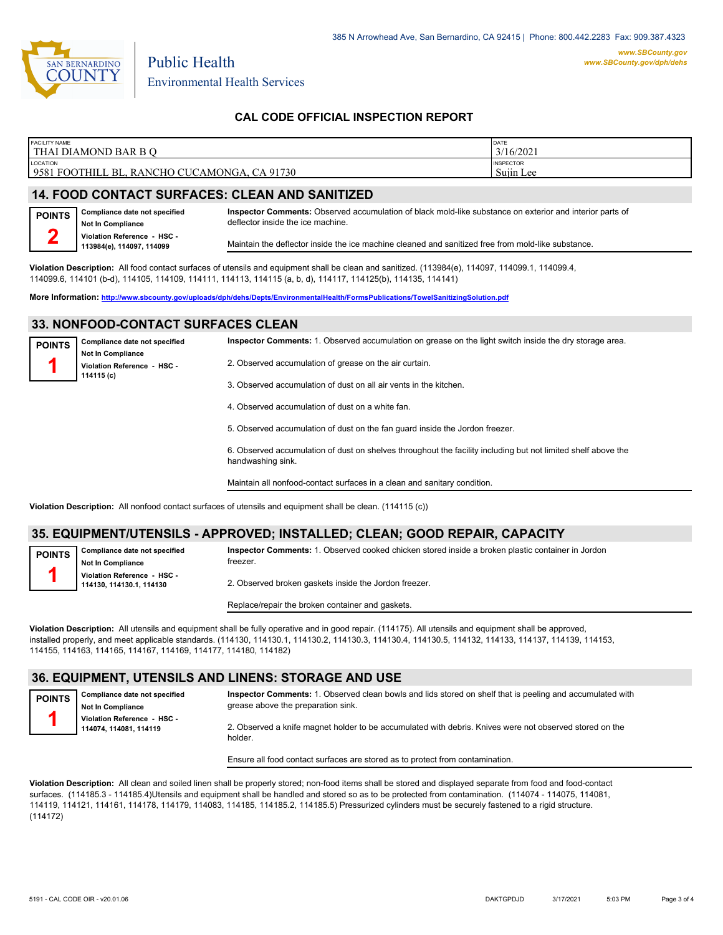

## **CAL CODE OFFICIAL INSPECTION REPORT**

| <b>FACILITY NAME</b>                                                         | DATE                          |
|------------------------------------------------------------------------------|-------------------------------|
| l THAI DIAMOND BAR B O                                                       | 3/16/2021                     |
| LOCATION<br>9581<br>CA 91730<br>' FOOTHILL<br>CHO CUCAMONGA.<br>`BL.<br>RANC | <b>INSPECTOR</b><br>Suiin Lee |

### **14. FOOD CONTACT SURFACES: CLEAN AND SANITIZED**

**Compliance date not specified Not In Compliance Violation Reference - HSC - 113984(e), 114097, 114099 POINTS 2 Inspector Comments:** Observed accumulation of black mold-like substance on exterior and interior parts of deflector inside the ice machine. Maintain the deflector inside the ice machine cleaned and sanitized free from mold-like substance.

**Violation Description:** All food contact surfaces of utensils and equipment shall be clean and sanitized. (113984(e), 114097, 114099.1, 114099.4, 114099.6, 114101 (b-d), 114105, 114109, 114111, 114113, 114115 (a, b, d), 114117, 114125(b), 114135, 114141)

**More Information: <http://www.sbcounty.gov/uploads/dph/dehs/Depts/EnvironmentalHealth/FormsPublications/TowelSanitizingSolution.pdf>**

## **33. NONFOOD-CONTACT SURFACES CLEAN**

| <b>POINTS</b> | Compliance date not specified                                         | Inspector Comments: 1. Observed accumulation on grease on the light switch inside the dry storage area.                            |  |
|---------------|-----------------------------------------------------------------------|------------------------------------------------------------------------------------------------------------------------------------|--|
|               | <b>Not In Compliance</b><br>Violation Reference - HSC -<br>114115 (c) | 2. Observed accumulation of grease on the air curtain.                                                                             |  |
|               |                                                                       | 3. Observed accumulation of dust on all air vents in the kitchen.                                                                  |  |
|               |                                                                       | 4. Observed accumulation of dust on a white fan.                                                                                   |  |
|               |                                                                       | 5. Observed accumulation of dust on the fan quard inside the Jordon freezer.                                                       |  |
|               |                                                                       | 6. Observed accumulation of dust on shelves throughout the facility including but not limited shelf above the<br>handwashing sink. |  |

Maintain all nonfood-contact surfaces in a clean and sanitary condition.

**Violation Description:** All nonfood contact surfaces of utensils and equipment shall be clean. (114115 (c))

## **35. EQUIPMENT/UTENSILS - APPROVED; INSTALLED; CLEAN; GOOD REPAIR, CAPACITY**

**POINTS 1**

**POINTS 1**

**Compliance date not specified Not In Compliance Violation Reference - HSC - 114130, 114130.1, 114130** freezer. 2. Observed broken gaskets inside the Jordon freezer.

**Inspector Comments:** 1. Observed cooked chicken stored inside a broken plastic container in Jordon

Replace/repair the broken container and gaskets.

**Violation Description:** All utensils and equipment shall be fully operative and in good repair. (114175). All utensils and equipment shall be approved, installed properly, and meet applicable standards. (114130, 114130.1, 114130.2, 114130.3, 114130.4, 114130.5, 114132, 114133, 114137, 114139, 114153, 114155, 114163, 114165, 114167, 114169, 114177, 114180, 114182)

#### **36. EQUIPMENT, UTENSILS AND LINENS: STORAGE AND USE**

**Inspector Comments:** 1. Observed clean bowls and lids stored on shelf that is peeling and accumulated with grease above the preparation sink.

**Not In Compliance Violation Reference - HSC - 114074, 114081, 114119**

**Compliance date not specified**

2. Observed a knife magnet holder to be accumulated with debris. Knives were not observed stored on the holder.

Ensure all food contact surfaces are stored as to protect from contamination.

**Violation Description:** All clean and soiled linen shall be properly stored; non-food items shall be stored and displayed separate from food and food-contact surfaces. (114185.3 - 114185.4)Utensils and equipment shall be handled and stored so as to be protected from contamination. (114074 - 114075, 114081, 114119, 114121, 114161, 114178, 114179, 114083, 114185, 114185.2, 114185.5) Pressurized cylinders must be securely fastened to a rigid structure. (114172)